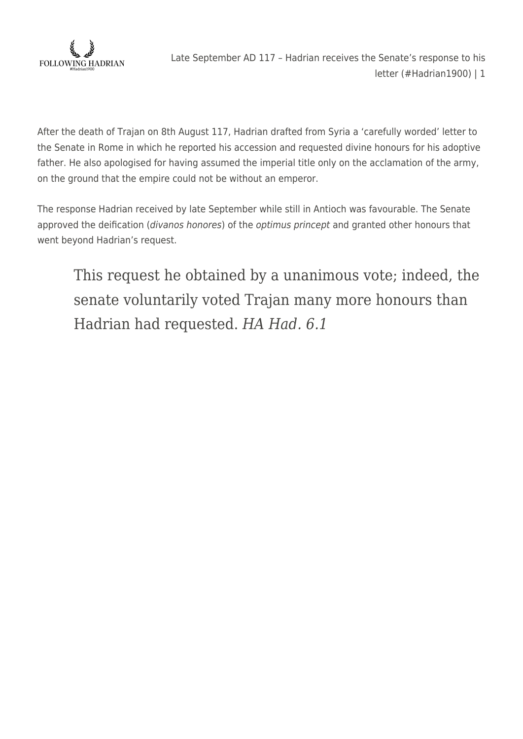

After the death of Trajan on 8th August 117, Hadrian drafted from Syria a 'carefully worded' letter to the Senate in Rome in which he reported his accession and requested divine honours for his adoptive father. He also apologised for having assumed the imperial title only on the acclamation of the army, on the ground that the empire could not be without an emperor.

The response Hadrian received by late September while still in Antioch was favourable. The Senate approved the deification (divanos honores) of the optimus princept and granted other honours that went beyond Hadrian's request.

This request he obtained by a unanimous vote; indeed, the senate voluntarily voted Trajan many more honours than Hadrian had requested. *HA Had. 6.1*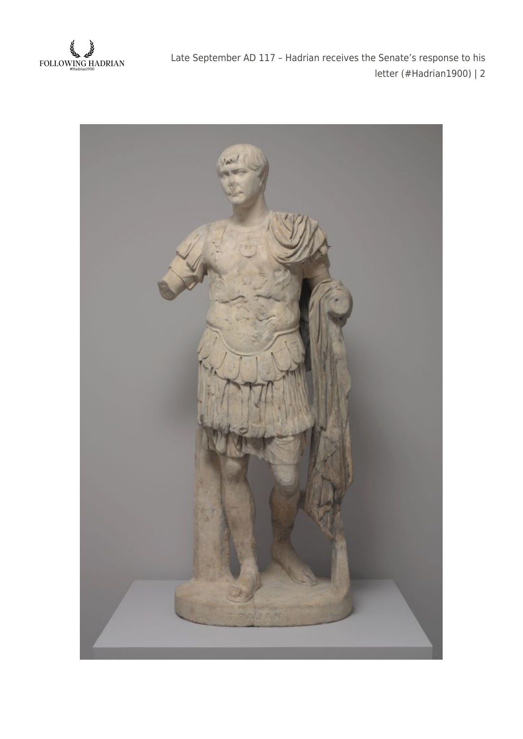FOLLOWING HADRIAN

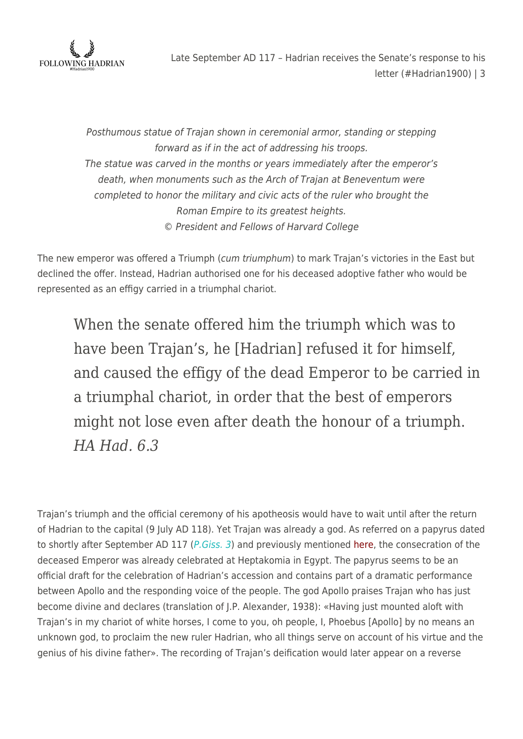

Posthumous statue of Trajan shown in ceremonial armor, standing or stepping forward as if in the act of addressing his troops. The statue was carved in the months or years immediately after the emperor's death, when monuments such as the Arch of Trajan at Beneventum were completed to honor the military and civic acts of the ruler who brought the Roman Empire to its greatest heights. © President and Fellows of Harvard College

The new emperor was offered a Triumph (cum triumphum) to mark Trajan's victories in the East but declined the offer. Instead, Hadrian authorised one for his deceased adoptive father who would be represented as an effigy carried in a triumphal chariot.

When the senate offered him the triumph which was to have been Trajan's, he [Hadrian] refused it for himself, and caused the effigy of the dead Emperor to be carried in a triumphal chariot, in order that the best of emperors might not lose even after death the honour of a triumph. *HA Had. 6.3*

Trajan's triumph and the official ceremony of his apotheosis would have to wait until after the return of Hadrian to the capital (9 July AD 118). Yet Trajan was already a god. As referred on a papyrus dated to shortly after September AD 117 ([P.Giss. 3](http://digibib.ub.uni-giessen.de/cgi-bin/populo/pap.pl?t_allegro=x&f_SIG=P.+Giss.+3)) and previously mentioned [here](https://followinghadrian.com/2017/08/25/25th-august-117-ad-the-announcement-of-hadrians-accession-in-alexandria-hadrian1900/), the consecration of the deceased Emperor was already celebrated at Heptakomia in Egypt. The papyrus seems to be an official draft for the celebration of Hadrian's accession and contains part of a dramatic performance between Apollo and the responding voice of the people. The god Apollo praises Trajan who has just become divine and declares (translation of J.P. Alexander, 1938): «Having just mounted aloft with Trajan's in my chariot of white horses, I come to you, oh people, I, Phoebus [Apollo] by no means an unknown god, to proclaim the new ruler Hadrian, who all things serve on account of his virtue and the genius of his divine father». The recording of Trajan's deification would later appear on a reverse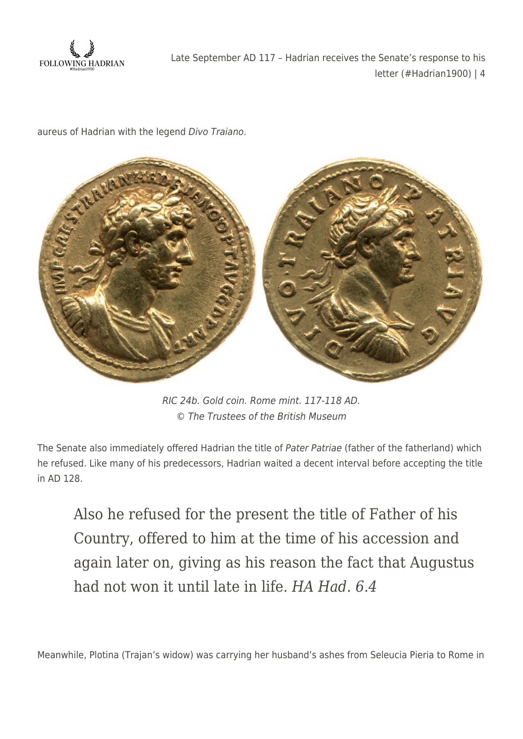



aureus of Hadrian with the legend Divo Traiano.

RIC 24b. Gold coin. Rome mint. 117-118 AD. © The Trustees of the British Museum

The Senate also immediately offered Hadrian the title of Pater Patriae (father of the fatherland) which he refused. Like many of his predecessors, Hadrian waited a decent interval before accepting the title in AD 128.

Also he refused for the present the title of Father of his Country, offered to him at the time of his accession and again later on, giving as his reason the fact that Augustus had not won it until late in life. *HA Had. 6.4*

Meanwhile, Plotina (Trajan's widow) was carrying her husband's ashes from Seleucia Pieria to Rome in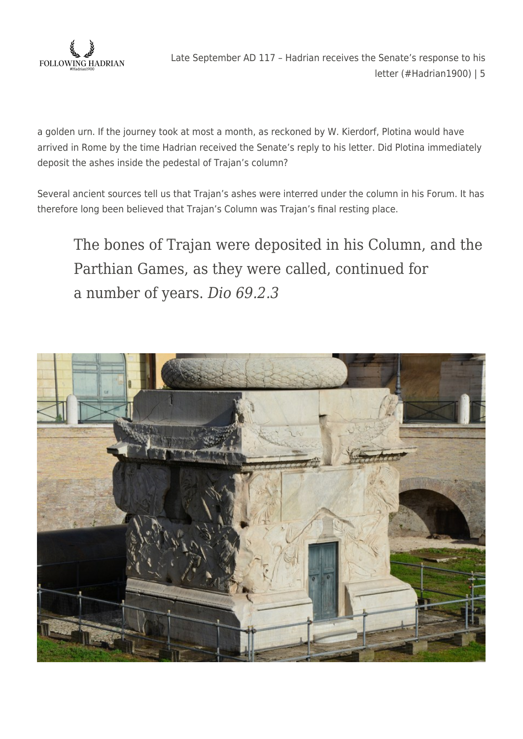

a golden urn. If the journey took at most a month, as reckoned by W. Kierdorf, Plotina would have arrived in Rome by the time Hadrian received the Senate's reply to his letter. Did Plotina immediately deposit the ashes inside the pedestal of Trajan's column?

Several ancient sources tell us that Trajan's ashes were interred under the column in his Forum. It has therefore long been believed that Trajan's Column was Trajan's final resting place.

The bones of Trajan were deposited in his Column, and the Parthian Games, as they were called, continued for a number of years. *Dio 69.2.3*

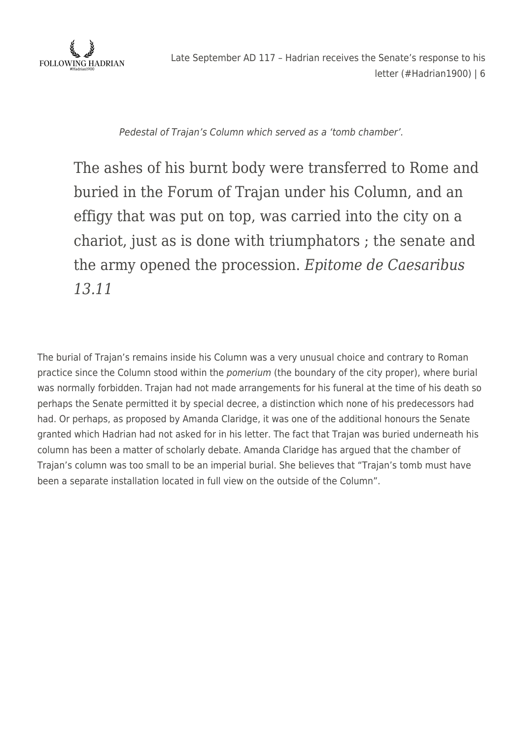

Pedestal of Trajan's Column which served as a 'tomb chamber'.

The ashes of his burnt body were transferred to Rome and buried in the Forum of Trajan under his Column, and an effigy that was put on top, was carried into the city on a chariot, just as is done with triumphators ; the senate and the army opened the procession. *Epitome de Caesaribus 13.11*

The burial of Trajan's remains inside his Column was a very unusual choice and contrary to Roman practice since the Column stood within the pomerium (the boundary of the city proper), where burial was normally forbidden. Trajan had not made arrangements for his funeral at the time of his death so perhaps the Senate permitted it by special decree, a distinction which none of his predecessors had had. Or perhaps, as proposed by Amanda Claridge, it was one of the additional honours the Senate granted which Hadrian had not asked for in his letter. The fact that Trajan was buried underneath his column has been a matter of scholarly debate. Amanda Claridge has argued that the chamber of Trajan's column was too small to be an imperial burial. She believes that "Trajan's tomb must have been a separate installation located in full view on the outside of the Column".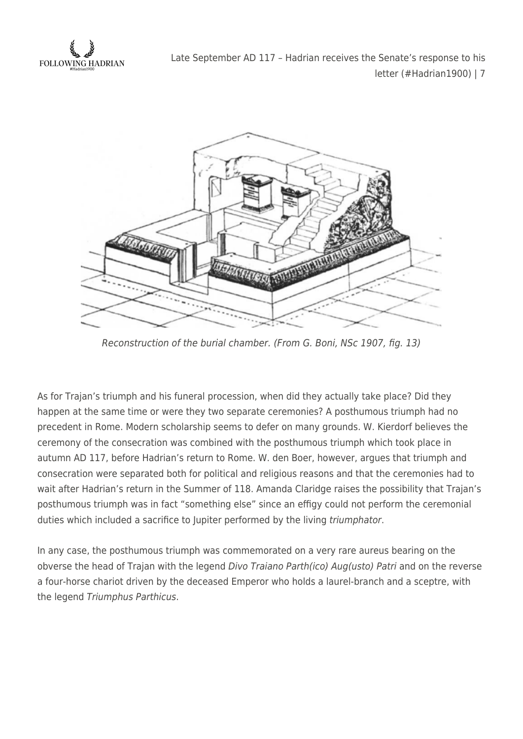



Reconstruction of the burial chamber. (From G. Boni, NSc 1907, fig. 13)

As for Trajan's triumph and his funeral procession, when did they actually take place? Did they happen at the same time or were they two separate ceremonies? A posthumous triumph had no precedent in Rome. Modern scholarship seems to defer on many grounds. W. Kierdorf believes the ceremony of the consecration was combined with the posthumous triumph which took place in autumn AD 117, before Hadrian's return to Rome. W. den Boer, however, argues that triumph and consecration were separated both for political and religious reasons and that the ceremonies had to wait after Hadrian's return in the Summer of 118. Amanda Claridge raises the possibility that Trajan's posthumous triumph was in fact "something else" since an effigy could not perform the ceremonial duties which included a sacrifice to Jupiter performed by the living triumphator.

In any case, the posthumous triumph was commemorated on a very rare aureus bearing on the obverse the head of Trajan with the legend *Divo Traiano Parth(ico) Aug(usto) Patri* and on the reverse a four-horse chariot driven by the deceased Emperor who holds a laurel-branch and a sceptre, with the legend Triumphus Parthicus.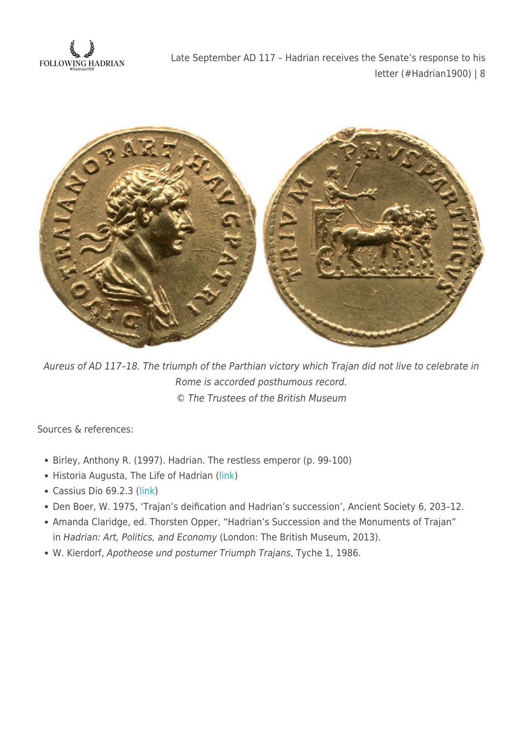FOLLOWING HADRIAN



Aureus of AD 117–18. The triumph of the Parthian victory which Trajan did not live to celebrate in Rome is accorded posthumous record. © The Trustees of the British Museum

Sources & references:

- Birley, Anthony R. (1997). Hadrian. The restless emperor (p. 99-100)
- Historia Augusta, The Life of Hadrian ([link](http://penelope.uchicago.edu/Thayer/e/roman/texts/historia_augusta/hadrian/1*.html))
- Cassius Dio 69.2.3 ([link](http://penelope.uchicago.edu/Thayer/e/roman/texts/cassius_dio/69*.html))
- Den Boer, W. 1975, 'Trajan's deification and Hadrian's succession', Ancient Society 6, 203–12.
- Amanda Claridge, ed. Thorsten Opper, "Hadrian's Succession and the Monuments of Trajan" in Hadrian: Art, Politics, and Economy (London: The British Museum, 2013).
- W. Kierdorf, Apotheose und postumer Triumph Trajans, Tyche 1, 1986.